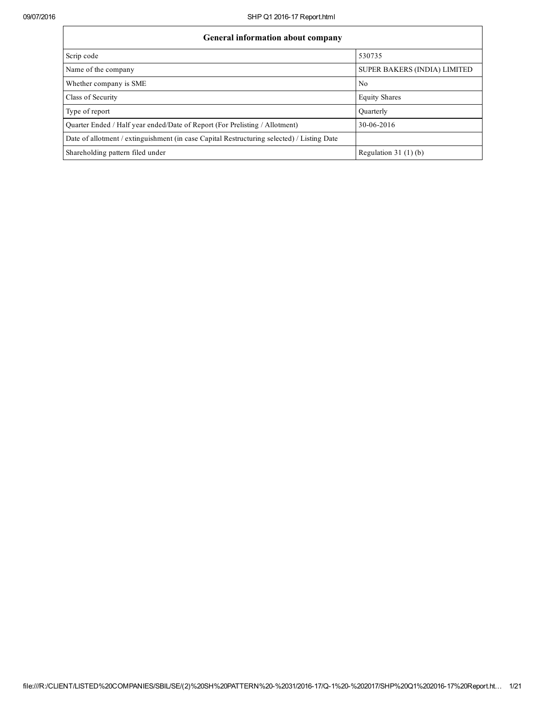| <b>General information about company</b>                                                   |                                     |  |  |  |  |  |  |
|--------------------------------------------------------------------------------------------|-------------------------------------|--|--|--|--|--|--|
| Scrip code                                                                                 | 530735                              |  |  |  |  |  |  |
| Name of the company                                                                        | <b>SUPER BAKERS (INDIA) LIMITED</b> |  |  |  |  |  |  |
| Whether company is SME                                                                     | No                                  |  |  |  |  |  |  |
| Class of Security                                                                          | <b>Equity Shares</b>                |  |  |  |  |  |  |
| Type of report                                                                             | Quarterly                           |  |  |  |  |  |  |
| Quarter Ended / Half year ended/Date of Report (For Prelisting / Allotment)                | 30-06-2016                          |  |  |  |  |  |  |
| Date of allotment / extinguishment (in case Capital Restructuring selected) / Listing Date |                                     |  |  |  |  |  |  |
| Shareholding pattern filed under                                                           | Regulation 31 $(1)(b)$              |  |  |  |  |  |  |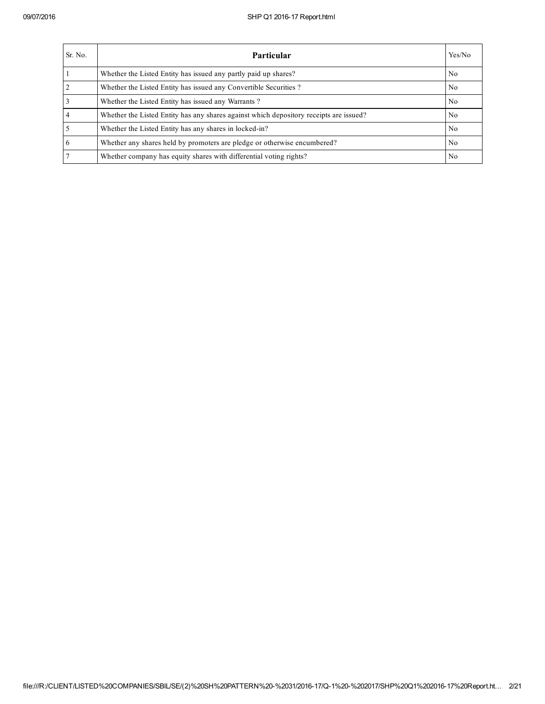| Sr. No.        | <b>Particular</b>                                                                      | Yes/No         |
|----------------|----------------------------------------------------------------------------------------|----------------|
|                | Whether the Listed Entity has issued any partly paid up shares?                        | No             |
| $\overline{2}$ | Whether the Listed Entity has issued any Convertible Securities?                       | N <sub>0</sub> |
|                | Whether the Listed Entity has issued any Warrants?                                     | N <sub>0</sub> |
|                | Whether the Listed Entity has any shares against which depository receipts are issued? | No             |
|                | Whether the Listed Entity has any shares in locked-in?                                 | N <sub>0</sub> |
| 6              | Whether any shares held by promoters are pledge or otherwise encumbered?               | N <sub>0</sub> |
|                | Whether company has equity shares with differential voting rights?                     | No             |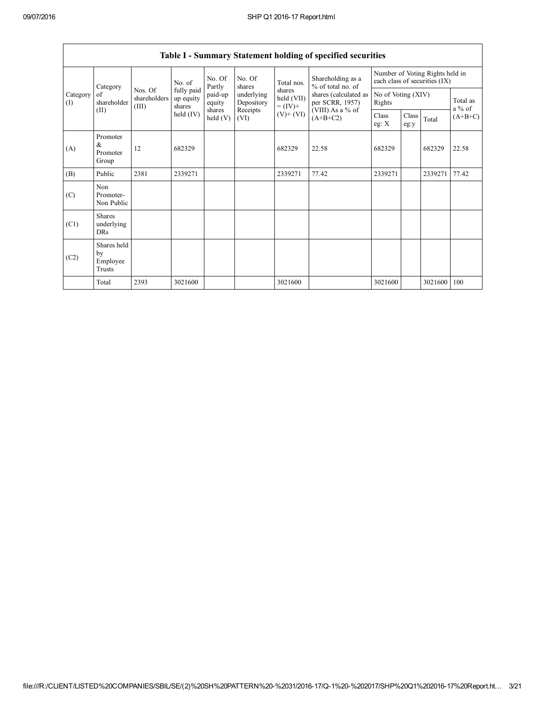|                 | Category                                | No. of                           |                                   | No. Of<br>Partly           | No. Of<br>shares         | Total nos.                         | Shareholding as a<br>% of total no. of<br>shares (calculated as<br>per SCRR, 1957)<br>(VIII) As a % of<br>$(A+B+C2)$ | Number of Voting Rights held in<br>each class of securities (IX) |               |         |                      |
|-----------------|-----------------------------------------|----------------------------------|-----------------------------------|----------------------------|--------------------------|------------------------------------|----------------------------------------------------------------------------------------------------------------------|------------------------------------------------------------------|---------------|---------|----------------------|
| Category<br>(I) | of<br>shareholder                       | Nos. Of<br>shareholders<br>(III) | fully paid<br>up equity<br>shares | paid-up<br>equity          | underlying<br>Depository | shares<br>held (VII)<br>$= (IV) +$ |                                                                                                                      | No of Voting (XIV)<br>Rights                                     |               |         | Total as<br>$a\%$ of |
| (II)            |                                         |                                  | held $(IV)$                       | shares<br>$\text{held}(V)$ | Receipts<br>(VI)         | $(V)+(VI)$                         |                                                                                                                      | Class<br>eg: $X$                                                 | Class<br>eg:y | Total   | $(A+B+C)$            |
| (A)             | Promoter<br>&<br>Promoter<br>Group      | 12                               | 682329                            |                            |                          | 682329                             | 22.58                                                                                                                | 682329                                                           |               | 682329  | 22.58                |
| (B)             | Public                                  | 2381                             | 2339271                           |                            |                          | 2339271                            | 77.42                                                                                                                | 2339271                                                          |               | 2339271 | 77.42                |
| (C)             | Non<br>Promoter-<br>Non Public          |                                  |                                   |                            |                          |                                    |                                                                                                                      |                                                                  |               |         |                      |
| (C1)            | <b>Shares</b><br>underlying<br>DRs      |                                  |                                   |                            |                          |                                    |                                                                                                                      |                                                                  |               |         |                      |
| (C2)            | Shares held<br>by<br>Employee<br>Trusts |                                  |                                   |                            |                          |                                    |                                                                                                                      |                                                                  |               |         |                      |
|                 | Total                                   | 2393                             | 3021600                           |                            |                          | 3021600                            |                                                                                                                      | 3021600                                                          |               | 3021600 | 100                  |

# Table I - Summary Statement holding of specified securities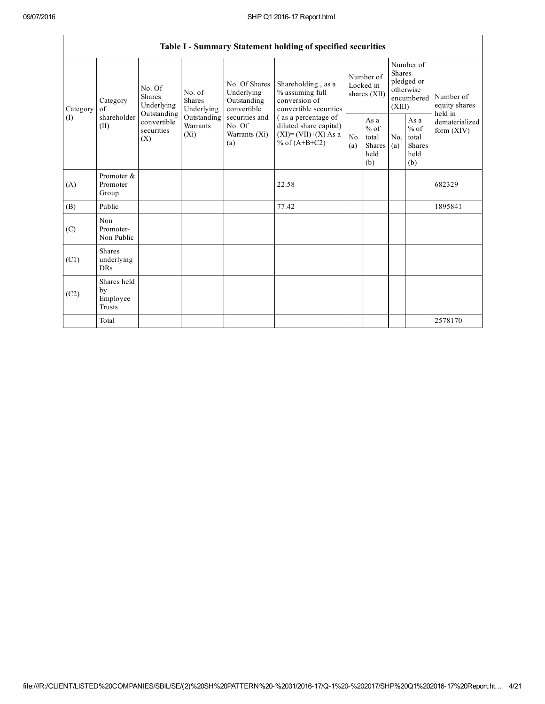|                               | Table I - Summary Statement holding of specified securities                                                  |                                    |                                                  |                                                                                           |                                                                                  |                                                         |            |                                                                               |                                |                                       |
|-------------------------------|--------------------------------------------------------------------------------------------------------------|------------------------------------|--------------------------------------------------|-------------------------------------------------------------------------------------------|----------------------------------------------------------------------------------|---------------------------------------------------------|------------|-------------------------------------------------------------------------------|--------------------------------|---------------------------------------|
| Category<br>of<br>(I)<br>(II) | No. Of<br>Shares<br>Category<br>Underlying<br>Outstanding<br>shareholder<br>convertible<br>securities<br>(X) |                                    | No. of<br><b>Shares</b><br>Underlying            | No. Of Shares<br>Underlying<br>Outstanding<br>convertible                                 | Shareholding, as a<br>% assuming full<br>conversion of<br>convertible securities | Number of<br>Locked in<br>shares (XII)                  |            | Number of<br><b>Shares</b><br>pledged or<br>otherwise<br>encumbered<br>(XIII) |                                | Number of<br>equity shares<br>held in |
|                               |                                                                                                              | Outstanding<br>Warrants<br>$(X_i)$ | securities and<br>No. Of<br>Warrants (Xi)<br>(a) | (as a percentage of<br>diluted share capital)<br>$(XI)=(VII)+(X) As a$<br>% of $(A+B+C2)$ | No.<br>(a)                                                                       | As a<br>$%$ of<br>total<br><b>Shares</b><br>held<br>(b) | No.<br>(a) | As a<br>$%$ of<br>total<br><b>Shares</b><br>held<br>(b)                       | dematerialized<br>form $(XIV)$ |                                       |
| (A)                           | Promoter &<br>Promoter<br>Group                                                                              |                                    |                                                  |                                                                                           | 22.58                                                                            |                                                         |            |                                                                               |                                | 682329                                |
| (B)                           | Public                                                                                                       |                                    |                                                  |                                                                                           | 77.42                                                                            |                                                         |            |                                                                               |                                | 1895841                               |
| (C)                           | <b>Non</b><br>Promoter-<br>Non Public                                                                        |                                    |                                                  |                                                                                           |                                                                                  |                                                         |            |                                                                               |                                |                                       |
| (C1)                          | <b>Shares</b><br>underlying<br><b>DRs</b>                                                                    |                                    |                                                  |                                                                                           |                                                                                  |                                                         |            |                                                                               |                                |                                       |
| (C2)                          | Shares held<br>by<br>Employee<br>Trusts                                                                      |                                    |                                                  |                                                                                           |                                                                                  |                                                         |            |                                                                               |                                |                                       |
|                               | Total                                                                                                        |                                    |                                                  |                                                                                           |                                                                                  |                                                         |            |                                                                               |                                | 2578170                               |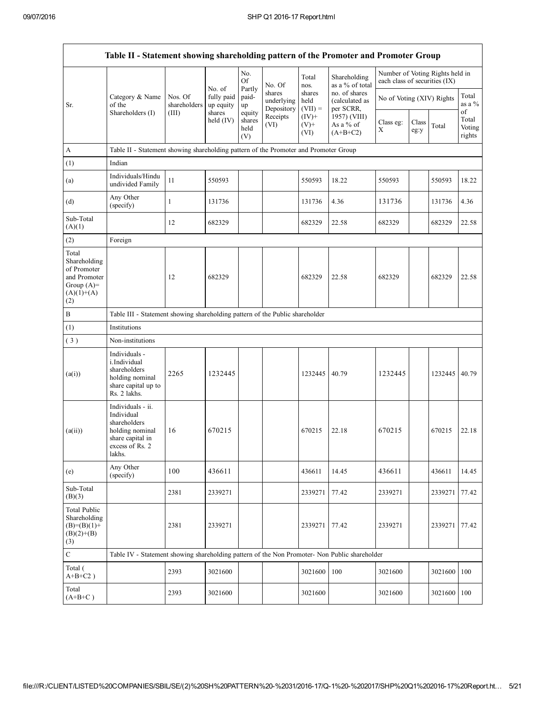|                                                                                             | Table II - Statement showing shareholding pattern of the Promoter and Promoter Group                                |                         |                                   |                                 |                                    |                             |                                              |                                                                  |               |         |                                 |
|---------------------------------------------------------------------------------------------|---------------------------------------------------------------------------------------------------------------------|-------------------------|-----------------------------------|---------------------------------|------------------------------------|-----------------------------|----------------------------------------------|------------------------------------------------------------------|---------------|---------|---------------------------------|
|                                                                                             |                                                                                                                     |                         |                                   | No.<br>Of                       | No. Of                             | Total<br>nos.               | Shareholding<br>as a % of total              | Number of Voting Rights held in<br>each class of securities (IX) |               |         |                                 |
| of the<br>Sr.                                                                               | Category & Name                                                                                                     | Nos. Of<br>shareholders | No. of<br>fully paid<br>up equity | Partly<br>paid-<br>up           | shares<br>underlying<br>Depository | shares<br>held<br>$(VII) =$ | no. of shares<br>(calculated as<br>per SCRR, | No of Voting (XIV) Rights                                        |               |         | Total<br>as a $%$               |
|                                                                                             | Shareholders (I)                                                                                                    | (III)                   | shares<br>held $(IV)$             | equity<br>shares<br>held<br>(V) | Receipts<br>(VI)                   | $(IV)$ +<br>$(V)$ +<br>(VI) | 1957) (VIII)<br>As a % of<br>$(A+B+C2)$      | Class eg:<br>Χ                                                   | Class<br>eg:y | Total   | of<br>Total<br>Voting<br>rights |
| A                                                                                           | Table II - Statement showing shareholding pattern of the Promoter and Promoter Group                                |                         |                                   |                                 |                                    |                             |                                              |                                                                  |               |         |                                 |
| (1)                                                                                         | Indian                                                                                                              |                         |                                   |                                 |                                    |                             |                                              |                                                                  |               |         |                                 |
| (a)                                                                                         | Individuals/Hindu<br>undivided Family                                                                               | 11                      | 550593                            |                                 |                                    | 550593                      | 18.22                                        | 550593                                                           |               | 550593  | 18.22                           |
| (d)                                                                                         | Any Other<br>(specify)                                                                                              | 1                       | 131736                            |                                 |                                    | 131736                      | 4.36                                         | 131736                                                           |               | 131736  | 4.36                            |
| Sub-Total<br>(A)(1)                                                                         |                                                                                                                     | 12                      | 682329                            |                                 |                                    | 682329                      | 22.58                                        | 682329                                                           |               | 682329  | 22.58                           |
| (2)                                                                                         | Foreign                                                                                                             |                         |                                   |                                 |                                    |                             |                                              |                                                                  |               |         |                                 |
| Total<br>Shareholding<br>of Promoter<br>and Promoter<br>Group $(A)=$<br>$(A)(1)+(A)$<br>(2) |                                                                                                                     | 12                      | 682329                            |                                 |                                    | 682329                      | 22.58                                        | 682329                                                           |               | 682329  | 22.58                           |
| $\, {\bf B}$                                                                                | Table III - Statement showing shareholding pattern of the Public shareholder                                        |                         |                                   |                                 |                                    |                             |                                              |                                                                  |               |         |                                 |
| (1)                                                                                         | Institutions                                                                                                        |                         |                                   |                                 |                                    |                             |                                              |                                                                  |               |         |                                 |
| (3)                                                                                         | Non-institutions                                                                                                    |                         |                                   |                                 |                                    |                             |                                              |                                                                  |               |         |                                 |
| (a(i))                                                                                      | Individuals -<br>i.Individual<br>shareholders<br>holding nominal<br>share capital up to<br>Rs. 2 lakhs.             | 2265                    | 1232445                           |                                 |                                    | 1232445                     | 40.79                                        | 1232445                                                          |               | 1232445 | 40.79                           |
| (a(ii))                                                                                     | Individuals - ii.<br>Individual<br>shareholders<br>holding nominal<br>share capital in<br>excess of Rs. 2<br>lakhs. | 16                      | 670215                            |                                 |                                    | 670215                      | 22.18                                        | 670215                                                           |               | 670215  | 22.18                           |
| (e)                                                                                         | Any Other<br>(specify)                                                                                              | 100                     | 436611                            |                                 |                                    | 436611                      | 14.45                                        | 436611                                                           |               | 436611  | 14.45                           |
| Sub-Total<br>(B)(3)                                                                         |                                                                                                                     | 2381                    | 2339271                           |                                 |                                    | 2339271                     | 77.42                                        | 2339271                                                          |               | 2339271 | 77.42                           |
| <b>Total Public</b><br>Shareholding<br>$(B)= (B)(1) +$<br>$(B)(2)+(B)$<br>(3)               |                                                                                                                     | 2381                    | 2339271                           |                                 |                                    | 2339271                     | 77.42                                        | 2339271                                                          |               | 2339271 | 77.42                           |
| $\mathbf C$                                                                                 | Table IV - Statement showing shareholding pattern of the Non Promoter- Non Public shareholder                       |                         |                                   |                                 |                                    |                             |                                              |                                                                  |               |         |                                 |
| Total (<br>$A+B+C2$ )                                                                       |                                                                                                                     | 2393                    | 3021600                           |                                 |                                    | 3021600                     | $100\,$                                      | 3021600                                                          |               | 3021600 | 100                             |
| Total<br>$(A+B+C)$                                                                          |                                                                                                                     | 2393                    | 3021600                           |                                 |                                    | 3021600                     |                                              | 3021600                                                          |               | 3021600 | 100                             |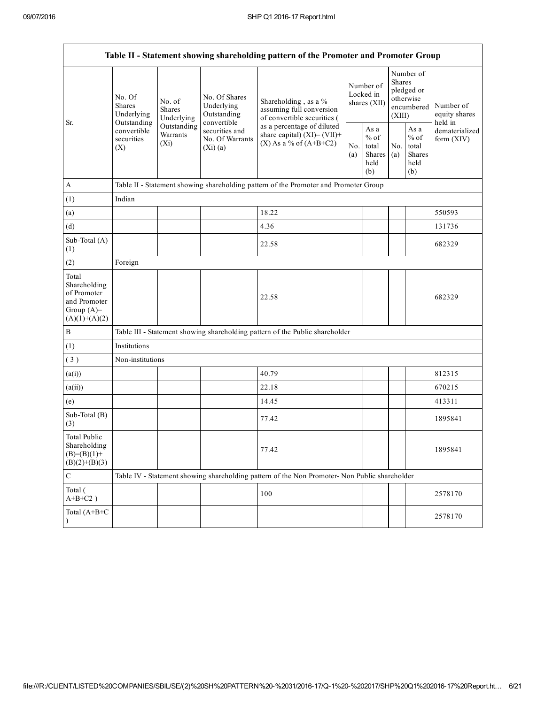| Table II - Statement showing shareholding pattern of the Promoter and Promoter Group    |                                                                                              |                                       |                                                           |                                                                                               |                                        |                                                  |                                                                               |                                                  |                                       |  |
|-----------------------------------------------------------------------------------------|----------------------------------------------------------------------------------------------|---------------------------------------|-----------------------------------------------------------|-----------------------------------------------------------------------------------------------|----------------------------------------|--------------------------------------------------|-------------------------------------------------------------------------------|--------------------------------------------------|---------------------------------------|--|
| Sr.                                                                                     | No. Of<br>Shares<br>Underlying<br>Outstanding<br>convertible<br>securities<br>$(X_i)$<br>(X) | No. of<br><b>Shares</b><br>Underlying | No. Of Shares<br>Underlying<br>Outstanding<br>convertible | Shareholding, as a %<br>assuming full conversion<br>of convertible securities (               | Number of<br>Locked in<br>shares (XII) |                                                  | Number of<br><b>Shares</b><br>pledged or<br>otherwise<br>encumbered<br>(XIII) |                                                  | Number of<br>equity shares<br>held in |  |
|                                                                                         |                                                                                              | Outstanding<br>Warrants               | securities and<br>No. Of Warrants<br>(Xi)(a)              | as a percentage of diluted<br>share capital) $(XI)=(VII)+$<br>$(X)$ As a % of $(A+B+C2)$      |                                        | As a<br>$%$ of<br>total<br>Shares<br>held<br>(b) | No.<br>(a)                                                                    | As a<br>$%$ of<br>total<br>Shares<br>held<br>(b) | dematerialized<br>form (XIV)          |  |
| A                                                                                       |                                                                                              |                                       |                                                           | Table II - Statement showing shareholding pattern of the Promoter and Promoter Group          |                                        |                                                  |                                                                               |                                                  |                                       |  |
| (1)                                                                                     | Indian                                                                                       |                                       |                                                           |                                                                                               |                                        |                                                  |                                                                               |                                                  |                                       |  |
| (a)                                                                                     |                                                                                              |                                       |                                                           | 18.22                                                                                         |                                        |                                                  |                                                                               |                                                  | 550593                                |  |
| (d)                                                                                     |                                                                                              |                                       |                                                           | 4.36                                                                                          |                                        |                                                  |                                                                               |                                                  | 131736                                |  |
| Sub-Total (A)<br>(1)                                                                    |                                                                                              |                                       |                                                           | 22.58                                                                                         |                                        |                                                  |                                                                               |                                                  | 682329                                |  |
| (2)                                                                                     | Foreign                                                                                      |                                       |                                                           |                                                                                               |                                        |                                                  |                                                                               |                                                  |                                       |  |
| Total<br>Shareholding<br>of Promoter<br>and Promoter<br>Group $(A)=$<br>$(A)(1)+(A)(2)$ |                                                                                              |                                       |                                                           | 22.58                                                                                         |                                        |                                                  |                                                                               |                                                  | 682329                                |  |
| $\, {\bf B}$                                                                            |                                                                                              |                                       |                                                           | Table III - Statement showing shareholding pattern of the Public shareholder                  |                                        |                                                  |                                                                               |                                                  |                                       |  |
| (1)                                                                                     | Institutions                                                                                 |                                       |                                                           |                                                                                               |                                        |                                                  |                                                                               |                                                  |                                       |  |
| (3)                                                                                     | Non-institutions                                                                             |                                       |                                                           |                                                                                               |                                        |                                                  |                                                                               |                                                  |                                       |  |
| (a(i))                                                                                  |                                                                                              |                                       |                                                           | 40.79                                                                                         |                                        |                                                  |                                                                               |                                                  | 812315                                |  |
| (a(ii))                                                                                 |                                                                                              |                                       |                                                           | 22.18                                                                                         |                                        |                                                  |                                                                               |                                                  | 670215                                |  |
| (e)                                                                                     |                                                                                              |                                       |                                                           | 14.45                                                                                         |                                        |                                                  |                                                                               |                                                  | 413311                                |  |
| Sub-Total (B)<br>(3)                                                                    |                                                                                              |                                       |                                                           | 77.42                                                                                         |                                        |                                                  |                                                                               |                                                  | 1895841                               |  |
| <b>Total Public</b><br>Shareholding<br>$(B)=(B)(1)+$<br>$(B)(2)+(B)(3)$                 |                                                                                              |                                       |                                                           | 77.42                                                                                         |                                        |                                                  |                                                                               |                                                  | 1895841                               |  |
| $\mathsf C$                                                                             |                                                                                              |                                       |                                                           | Table IV - Statement showing shareholding pattern of the Non Promoter- Non Public shareholder |                                        |                                                  |                                                                               |                                                  |                                       |  |
| Total (<br>$A+B+C2$ )                                                                   |                                                                                              |                                       |                                                           | 100                                                                                           |                                        |                                                  |                                                                               |                                                  | 2578170                               |  |
| Total (A+B+C<br>$\lambda$                                                               |                                                                                              |                                       |                                                           |                                                                                               |                                        |                                                  |                                                                               |                                                  | 2578170                               |  |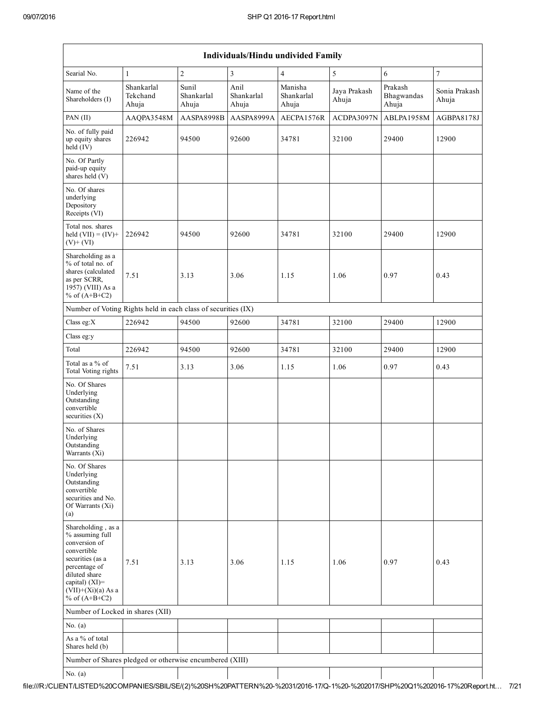| Individuals/Hindu undivided Family                                                                                                                                                       |                                 |                              |                             |                                |                       |                                |                        |  |  |
|------------------------------------------------------------------------------------------------------------------------------------------------------------------------------------------|---------------------------------|------------------------------|-----------------------------|--------------------------------|-----------------------|--------------------------------|------------------------|--|--|
| Searial No.                                                                                                                                                                              | $\mathbf{1}$                    | $\boldsymbol{2}$             | $\overline{\mathbf{3}}$     | $\overline{4}$                 | 5                     | 6                              | $\boldsymbol{7}$       |  |  |
| Name of the<br>Shareholders (I)                                                                                                                                                          | Shankarlal<br>Tekchand<br>Ahuja | Sunil<br>Shankarlal<br>Ahuja | Anil<br>Shankarlal<br>Ahuja | Manisha<br>Shankarlal<br>Ahuja | Jaya Prakash<br>Ahuja | Prakash<br>Bhagwandas<br>Ahuja | Sonia Prakash<br>Ahuja |  |  |
| PAN (II)                                                                                                                                                                                 | AAQPA3548M                      | AASPA8998B                   | AASPA8999A                  | AECPA1576R                     | ACDPA3097N            | ABLPA1958M                     | AGBPA8178J             |  |  |
| No. of fully paid<br>up equity shares<br>$held$ (IV)                                                                                                                                     | 226942                          | 94500                        | 92600                       | 34781                          | 32100                 | 29400                          | 12900                  |  |  |
| No. Of Partly<br>paid-up equity<br>shares held (V)                                                                                                                                       |                                 |                              |                             |                                |                       |                                |                        |  |  |
| No. Of shares<br>underlying<br>Depository<br>Receipts (VI)                                                                                                                               |                                 |                              |                             |                                |                       |                                |                        |  |  |
| Total nos. shares<br>held $(VII) = (IV) +$<br>$(V)+(VI)$                                                                                                                                 | 226942                          | 94500                        | 92600                       | 34781                          | 32100                 | 29400                          | 12900                  |  |  |
| Shareholding as a<br>% of total no. of<br>shares (calculated<br>as per SCRR,<br>1957) (VIII) As a<br>% of $(A+B+C2)$                                                                     | 7.51                            | 3.13                         | 3.06                        | 1.15                           | 1.06                  | 0.97                           | 0.43                   |  |  |
| Number of Voting Rights held in each class of securities (IX)                                                                                                                            |                                 |                              |                             |                                |                       |                                |                        |  |  |
| Class eg: $X$                                                                                                                                                                            | 226942                          | 94500                        | 92600                       | 34781                          | 32100                 | 29400                          | 12900                  |  |  |
| Class eg:y                                                                                                                                                                               |                                 |                              |                             |                                |                       |                                |                        |  |  |
| Total                                                                                                                                                                                    | 226942                          | 94500                        | 92600                       | 34781                          | 32100                 | 29400                          | 12900                  |  |  |
| Total as a % of<br>Total Voting rights                                                                                                                                                   | 7.51                            | 3.13                         | 3.06                        | 1.15                           | 1.06                  | 0.97                           | 0.43                   |  |  |
| No. Of Shares<br>Underlying<br>Outstanding<br>convertible<br>securities $(X)$                                                                                                            |                                 |                              |                             |                                |                       |                                |                        |  |  |
| No. of Shares<br>Underlying<br>Outstanding<br>Warrants (Xi)                                                                                                                              |                                 |                              |                             |                                |                       |                                |                        |  |  |
| No. Of Shares<br>Underlying<br>Outstanding<br>convertible<br>securities and No.<br>Of Warrants (Xi)<br>(a)                                                                               |                                 |                              |                             |                                |                       |                                |                        |  |  |
| Shareholding, as a<br>% assuming full<br>conversion of<br>convertible<br>securities (as a<br>percentage of<br>diluted share<br>capital) (XI)=<br>$(VII)+(Xi)(a)$ As a<br>% of $(A+B+C2)$ | 7.51                            | 3.13                         | 3.06                        | 1.15                           | 1.06                  | 0.97                           | 0.43                   |  |  |
| Number of Locked in shares (XII)                                                                                                                                                         |                                 |                              |                             |                                |                       |                                |                        |  |  |
| No. $(a)$                                                                                                                                                                                |                                 |                              |                             |                                |                       |                                |                        |  |  |
| As a % of total<br>Shares held (b)                                                                                                                                                       |                                 |                              |                             |                                |                       |                                |                        |  |  |
| Number of Shares pledged or otherwise encumbered (XIII)                                                                                                                                  |                                 |                              |                             |                                |                       |                                |                        |  |  |
| No. $(a)$                                                                                                                                                                                |                                 |                              |                             |                                |                       |                                |                        |  |  |

 $\mathbf{I}$  $\mathbf{I}$ file:///R:/CLIENT/LISTED%20COMPANIES/SBIL/SE/(2)%20SH%20PATTERN%20%2031/201617/Q1%20%202017/SHP%20Q1%20201617%20Report.ht… 7/21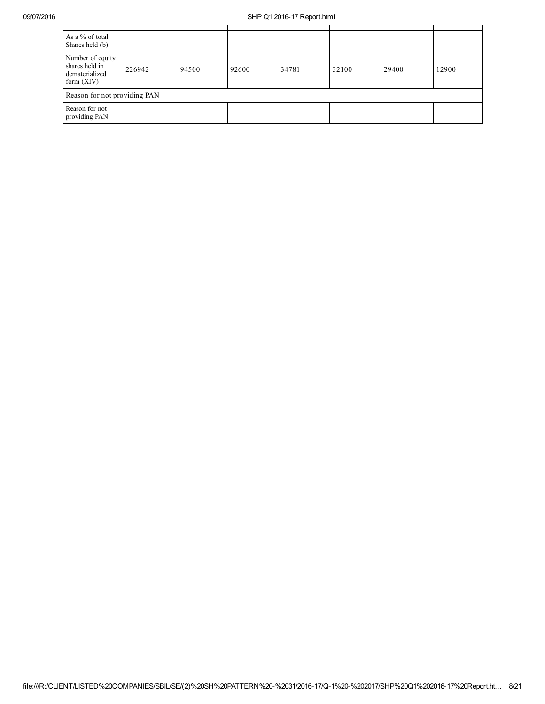| As a % of total<br>Shares held (b)                                   |        |       |       |       |       |       |       |  |
|----------------------------------------------------------------------|--------|-------|-------|-------|-------|-------|-------|--|
| Number of equity<br>shares held in<br>dematerialized<br>form $(XIV)$ | 226942 | 94500 | 92600 | 34781 | 32100 | 29400 | 12900 |  |
| Reason for not providing PAN                                         |        |       |       |       |       |       |       |  |
| Reason for not<br>providing PAN                                      |        |       |       |       |       |       |       |  |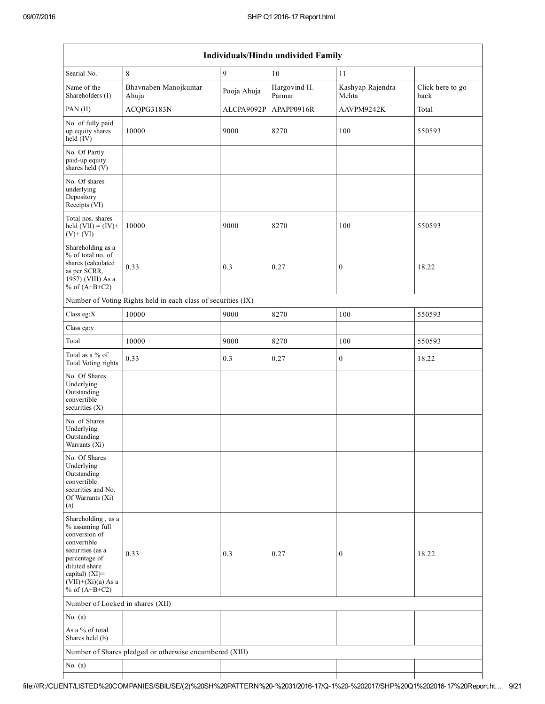|                                                                                                                                                                                          | Individuals/Hindu undivided Family                            |             |                        |                           |                          |  |  |  |  |
|------------------------------------------------------------------------------------------------------------------------------------------------------------------------------------------|---------------------------------------------------------------|-------------|------------------------|---------------------------|--------------------------|--|--|--|--|
| Searial No.                                                                                                                                                                              | $\,$ 8 $\,$                                                   | 9           | 10                     | 11                        |                          |  |  |  |  |
| Name of the<br>Shareholders (I)                                                                                                                                                          | Bhavnaben Manojkumar<br>Ahuja                                 | Pooja Ahuja | Hargovind H.<br>Parmar | Kashyap Rajendra<br>Mehta | Click here to go<br>back |  |  |  |  |
| PAN (II)                                                                                                                                                                                 | ACQPG3183N                                                    | ALCPA9092P  | APAPP0916R             | AAVPM9242K                | Total                    |  |  |  |  |
| No. of fully paid<br>up equity shares<br>$held$ (IV)                                                                                                                                     | 10000                                                         | 9000        | 8270                   | 100                       | 550593                   |  |  |  |  |
| No. Of Partly<br>paid-up equity<br>shares held (V)                                                                                                                                       |                                                               |             |                        |                           |                          |  |  |  |  |
| No. Of shares<br>underlying<br>Depository<br>Receipts (VI)                                                                                                                               |                                                               |             |                        |                           |                          |  |  |  |  |
| Total nos. shares<br>held $(VII) = (IV) +$<br>$(V)+(VI)$                                                                                                                                 | 10000                                                         | 9000        | 8270                   | 100                       | 550593                   |  |  |  |  |
| Shareholding as a<br>% of total no. of<br>shares (calculated<br>as per SCRR,<br>1957) (VIII) As a<br>% of $(A+B+C2)$                                                                     | 0.33                                                          | 0.3         | 0.27                   | $\mathbf{0}$              | 18.22                    |  |  |  |  |
|                                                                                                                                                                                          | Number of Voting Rights held in each class of securities (IX) |             |                        |                           |                          |  |  |  |  |
| Class eg: $X$                                                                                                                                                                            | 10000                                                         | 9000        | 8270                   | 100                       | 550593                   |  |  |  |  |
| Class eg:y                                                                                                                                                                               |                                                               |             |                        |                           |                          |  |  |  |  |
| Total                                                                                                                                                                                    | 10000                                                         | 9000        | 8270                   | 100                       | 550593                   |  |  |  |  |
| Total as a % of<br>Total Voting rights                                                                                                                                                   | 0.33                                                          | 0.3         | 0.27                   | $\boldsymbol{0}$          | 18.22                    |  |  |  |  |
| No. Of Shares<br>Underlying<br>Outstanding<br>convertible<br>securities $(X)$                                                                                                            |                                                               |             |                        |                           |                          |  |  |  |  |
| No. of Shares<br>Underlying<br>Outstanding<br>Warrants (Xi)                                                                                                                              |                                                               |             |                        |                           |                          |  |  |  |  |
| No. Of Shares<br>Underlying<br>Outstanding<br>convertible<br>securities and No.<br>Of Warrants (Xi)<br>(a)                                                                               |                                                               |             |                        |                           |                          |  |  |  |  |
| Shareholding, as a<br>% assuming full<br>conversion of<br>convertible<br>securities (as a<br>percentage of<br>diluted share<br>capital) (XI)=<br>$(VII)+(Xi)(a)$ As a<br>% of $(A+B+C2)$ | 0.33                                                          | 0.3         | 0.27                   | $\boldsymbol{0}$          | 18.22                    |  |  |  |  |
| Number of Locked in shares (XII)                                                                                                                                                         |                                                               |             |                        |                           |                          |  |  |  |  |
| No. $(a)$                                                                                                                                                                                |                                                               |             |                        |                           |                          |  |  |  |  |
| As a % of total<br>Shares held (b)                                                                                                                                                       |                                                               |             |                        |                           |                          |  |  |  |  |
|                                                                                                                                                                                          | Number of Shares pledged or otherwise encumbered (XIII)       |             |                        |                           |                          |  |  |  |  |
| No. $(a)$                                                                                                                                                                                |                                                               |             |                        |                           |                          |  |  |  |  |
|                                                                                                                                                                                          |                                                               |             |                        |                           |                          |  |  |  |  |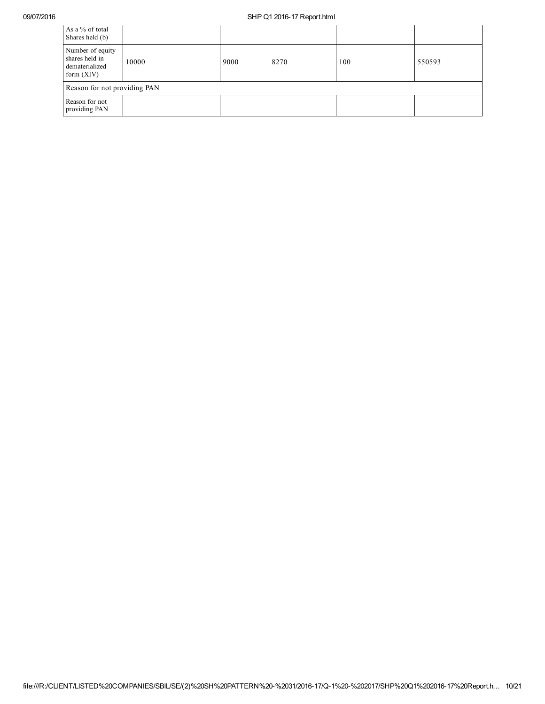| As a % of total<br>Shares held (b)                                   |       |      |      |     |        |  |  |
|----------------------------------------------------------------------|-------|------|------|-----|--------|--|--|
| Number of equity<br>shares held in<br>dematerialized<br>form $(XIV)$ | 10000 | 9000 | 8270 | 100 | 550593 |  |  |
| Reason for not providing PAN                                         |       |      |      |     |        |  |  |
| Reason for not<br>providing PAN                                      |       |      |      |     |        |  |  |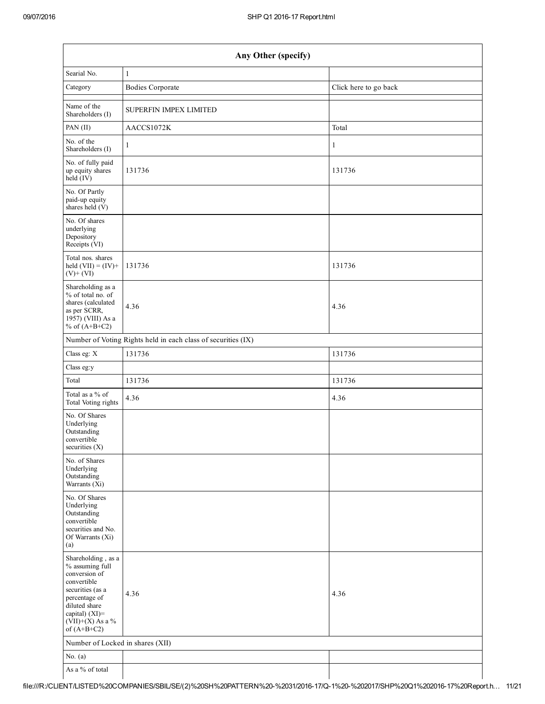| Any Other (specify)                                                                                                                                                                  |                               |                       |  |  |  |  |  |
|--------------------------------------------------------------------------------------------------------------------------------------------------------------------------------------|-------------------------------|-----------------------|--|--|--|--|--|
| Searial No.                                                                                                                                                                          | $\mathbf{1}$                  |                       |  |  |  |  |  |
| Category                                                                                                                                                                             | <b>Bodies Corporate</b>       | Click here to go back |  |  |  |  |  |
| Name of the<br>Shareholders (I)                                                                                                                                                      | <b>SUPERFIN IMPEX LIMITED</b> |                       |  |  |  |  |  |
| PAN (II)                                                                                                                                                                             | AACCS1072K                    | Total                 |  |  |  |  |  |
| No. of the<br>Shareholders (I)                                                                                                                                                       | $\mathbf{1}$                  | 1                     |  |  |  |  |  |
| No. of fully paid<br>up equity shares<br>$held$ (IV)                                                                                                                                 | 131736                        | 131736                |  |  |  |  |  |
| No. Of Partly<br>paid-up equity<br>shares held $(V)$                                                                                                                                 |                               |                       |  |  |  |  |  |
| No. Of shares<br>underlying<br>Depository<br>Receipts (VI)                                                                                                                           |                               |                       |  |  |  |  |  |
| Total nos. shares<br>held $(VII) = (IV) +$<br>$(V)$ + $(VI)$                                                                                                                         | 131736                        | 131736                |  |  |  |  |  |
| Shareholding as a<br>% of total no. of<br>shares (calculated<br>as per SCRR,<br>1957) (VIII) As a<br>% of $(A+B+C2)$                                                                 | 4.36                          | 4.36                  |  |  |  |  |  |
| Number of Voting Rights held in each class of securities (IX)                                                                                                                        |                               |                       |  |  |  |  |  |
| Class eg: X                                                                                                                                                                          | 131736                        | 131736                |  |  |  |  |  |
| Class eg:y                                                                                                                                                                           |                               |                       |  |  |  |  |  |
| Total                                                                                                                                                                                | 131736                        | 131736                |  |  |  |  |  |
| Total as a % of<br>Total Voting rights                                                                                                                                               | 4.36                          | 4.36                  |  |  |  |  |  |
| No. Of Shares<br>Underlying<br>Outstanding<br>convertible<br>securities (X)                                                                                                          |                               |                       |  |  |  |  |  |
| No. of Shares<br>Underlying<br>Outstanding<br>Warrants $(Xi)$                                                                                                                        |                               |                       |  |  |  |  |  |
| No. Of Shares<br>Underlying<br>Outstanding<br>convertible<br>securities and No.<br>Of Warrants (Xi)<br>(a)                                                                           |                               |                       |  |  |  |  |  |
| Shareholding, as a<br>% assuming full<br>conversion of<br>convertible<br>securities (as a<br>percentage of<br>diluted share<br>capital) (XI)=<br>$(VII)+(X)$ As a %<br>of $(A+B+C2)$ | 4.36                          | 4.36                  |  |  |  |  |  |
| Number of Locked in shares (XII)                                                                                                                                                     |                               |                       |  |  |  |  |  |
| No. $(a)$                                                                                                                                                                            |                               |                       |  |  |  |  |  |
| As a % of total                                                                                                                                                                      |                               |                       |  |  |  |  |  |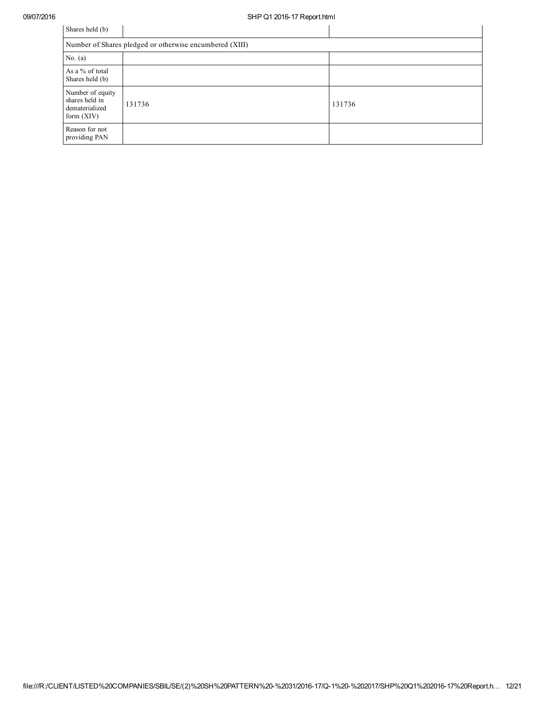| Shares held (b)                                                      |        |        |  |  |  |  |  |
|----------------------------------------------------------------------|--------|--------|--|--|--|--|--|
| Number of Shares pledged or otherwise encumbered (XIII)              |        |        |  |  |  |  |  |
| No. $(a)$                                                            |        |        |  |  |  |  |  |
| As a % of total<br>Shares held (b)                                   |        |        |  |  |  |  |  |
| Number of equity<br>shares held in<br>dematerialized<br>form $(XIV)$ | 131736 | 131736 |  |  |  |  |  |
| Reason for not<br>providing PAN                                      |        |        |  |  |  |  |  |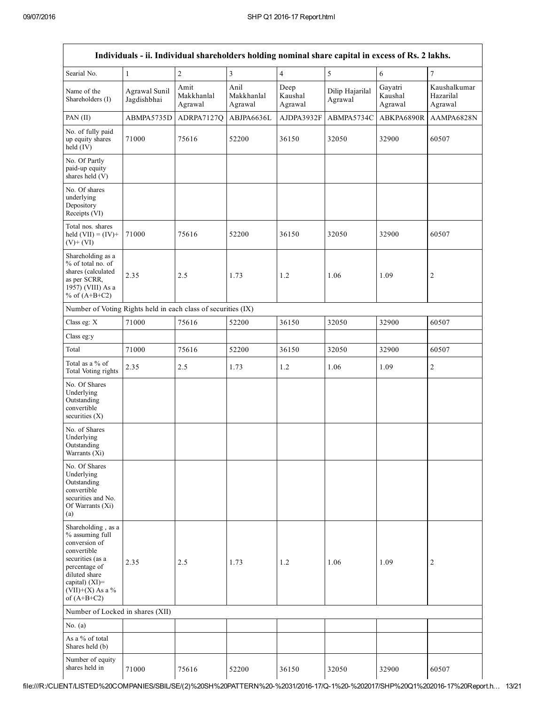| Individuals - ii. Individual shareholders holding nominal share capital in excess of Rs. 2 lakhs.                                                                                    |                              |                               |                               |                            |                            |                               |                                      |
|--------------------------------------------------------------------------------------------------------------------------------------------------------------------------------------|------------------------------|-------------------------------|-------------------------------|----------------------------|----------------------------|-------------------------------|--------------------------------------|
| Searial No.                                                                                                                                                                          | 1                            | $\sqrt{2}$                    | $\overline{3}$                | $\overline{4}$             | 5                          | 6                             | 7                                    |
| Name of the<br>Shareholders (I)                                                                                                                                                      | Agrawal Sunil<br>Jagdishbhai | Amit<br>Makkhanlal<br>Agrawal | Anil<br>Makkhanlal<br>Agrawal | Deep<br>Kaushal<br>Agrawal | Dilip Hajarilal<br>Agrawal | Gayatri<br>Kaushal<br>Agrawal | Kaushalkumar<br>Hazarilal<br>Agrawal |
| PAN (II)                                                                                                                                                                             | ABMPA5735D                   | ADRPA7127Q                    | ABJPA6636L                    | AJDPA3932F                 | ABMPA5734C                 | ABKPA6890R                    | AAMPA6828N                           |
| No. of fully paid<br>up equity shares<br>held $(IV)$                                                                                                                                 | 71000                        | 75616                         | 52200                         | 36150                      | 32050                      | 32900                         | 60507                                |
| No. Of Partly<br>paid-up equity<br>shares held (V)                                                                                                                                   |                              |                               |                               |                            |                            |                               |                                      |
| No. Of shares<br>underlying<br>Depository<br>Receipts (VI)                                                                                                                           |                              |                               |                               |                            |                            |                               |                                      |
| Total nos, shares<br>held $(VII) = (IV) +$<br>$(V)+(VI)$                                                                                                                             | 71000                        | 75616                         | 52200                         | 36150                      | 32050                      | 32900                         | 60507                                |
| Shareholding as a<br>% of total no. of<br>shares (calculated<br>as per SCRR,<br>1957) (VIII) As a<br>% of $(A+B+C2)$                                                                 | 2.35                         | 2.5                           | 1.73                          | 1.2                        | 1.06                       | 1.09                          | $\overline{c}$                       |
| Number of Voting Rights held in each class of securities (IX)                                                                                                                        |                              |                               |                               |                            |                            |                               |                                      |
| Class eg: X                                                                                                                                                                          | 71000                        | 75616                         | 52200                         | 36150                      | 32050                      | 32900                         | 60507                                |
| Class eg:y                                                                                                                                                                           |                              |                               |                               |                            |                            |                               |                                      |
| Total                                                                                                                                                                                | 71000                        | 75616                         | 52200                         | 36150                      | 32050                      | 32900                         | 60507                                |
| Total as a % of<br>Total Voting rights                                                                                                                                               | 2.35                         | 2.5                           | 1.73                          | 1.2                        | 1.06                       | 1.09                          | $\sqrt{2}$                           |
| No. Of Shares<br>Underlying<br>Outstanding<br>convertible<br>securities $(X)$                                                                                                        |                              |                               |                               |                            |                            |                               |                                      |
| No. of Shares<br>Underlying<br>Outstanding<br>Warrants (Xi)                                                                                                                          |                              |                               |                               |                            |                            |                               |                                      |
| No. Of Shares<br>Underlying<br>Outstanding<br>convertible<br>securities and No.<br>Of Warrants (Xi)<br>(a)                                                                           |                              |                               |                               |                            |                            |                               |                                      |
| Shareholding, as a<br>% assuming full<br>conversion of<br>convertible<br>securities (as a<br>percentage of<br>diluted share<br>capital) (XI)=<br>$(VII)+(X)$ As a %<br>of $(A+B+C2)$ | 2.35                         | 2.5                           | 1.73                          | 1.2                        | 1.06                       | 1.09                          | $\overline{c}$                       |
| Number of Locked in shares (XII)                                                                                                                                                     |                              |                               |                               |                            |                            |                               |                                      |
| No. $(a)$                                                                                                                                                                            |                              |                               |                               |                            |                            |                               |                                      |
| As a % of total<br>Shares held (b)                                                                                                                                                   |                              |                               |                               |                            |                            |                               |                                      |
| Number of equity<br>shares held in                                                                                                                                                   | 71000                        | 75616                         | 52200                         | 36150                      | 32050                      | 32900                         | 60507                                |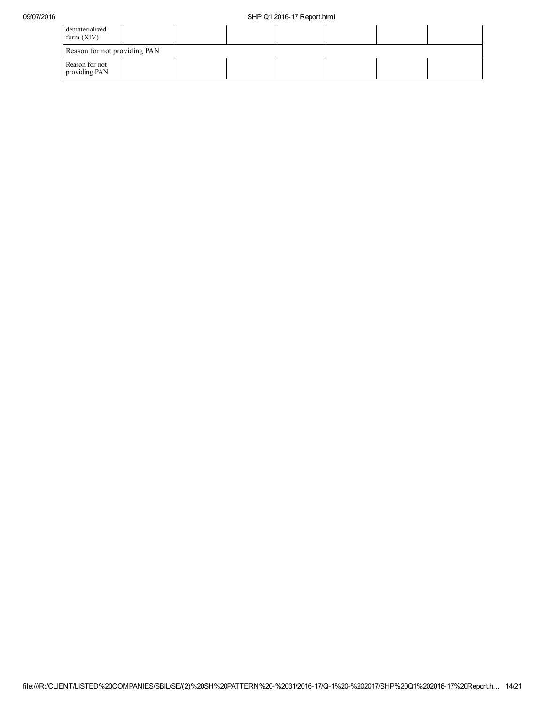| dematerialized<br>form $(XIV)$  |  |  |  |  |
|---------------------------------|--|--|--|--|
| Reason for not providing PAN    |  |  |  |  |
| Reason for not<br>providing PAN |  |  |  |  |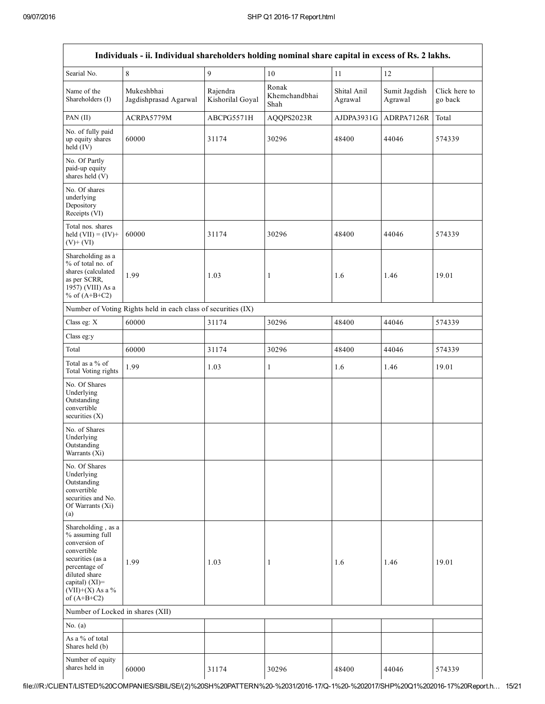|                                                                                                                                                                                      | Individuals - ii. Individual shareholders holding nominal share capital in excess of Rs. 2 lakhs. |                              |                                                          |            |                          |                          |
|--------------------------------------------------------------------------------------------------------------------------------------------------------------------------------------|---------------------------------------------------------------------------------------------------|------------------------------|----------------------------------------------------------|------------|--------------------------|--------------------------|
| Searial No.                                                                                                                                                                          | $\,8\,$                                                                                           | 9                            | 10                                                       | 11         | 12                       |                          |
| Name of the<br>Shareholders (I)                                                                                                                                                      | Mukeshbhai<br>Jagdishprasad Agarwal                                                               | Rajendra<br>Kishorilal Goyal | Ronak<br>Shital Anil<br>Khemchandbhai<br>Agrawal<br>Shah |            | Sumit Jagdish<br>Agrawal | Click here to<br>go back |
| PAN $(II)$                                                                                                                                                                           | ACRPA5779M                                                                                        | ABCPG5571H                   | AQQPS2023R                                               | AJDPA3931G | ADRPA7126R               | Total                    |
| No. of fully paid<br>up equity shares<br>held (IV)                                                                                                                                   | 60000                                                                                             | 31174                        | 30296                                                    | 48400      | 44046                    | 574339                   |
| No. Of Partly<br>paid-up equity<br>shares held (V)                                                                                                                                   |                                                                                                   |                              |                                                          |            |                          |                          |
| No. Of shares<br>underlying<br>Depository<br>Receipts (VI)                                                                                                                           |                                                                                                   |                              |                                                          |            |                          |                          |
| Total nos. shares<br>held $(VII) = (IV) +$<br>$(V)+(VI)$                                                                                                                             | 60000                                                                                             | 31174                        | 30296                                                    | 48400      | 44046                    | 574339                   |
| Shareholding as a<br>% of total no. of<br>shares (calculated<br>as per SCRR,<br>1957) (VIII) As a<br>% of $(A+B+C2)$                                                                 | 1.99                                                                                              | 1.03                         | $\mathbf{1}$                                             | 1.6        | 1.46                     | 19.01                    |
|                                                                                                                                                                                      | Number of Voting Rights held in each class of securities (IX)                                     |                              |                                                          |            |                          |                          |
| Class eg: X                                                                                                                                                                          | 60000                                                                                             | 31174                        | 30296                                                    | 48400      | 44046                    | 574339                   |
| Class eg:y                                                                                                                                                                           |                                                                                                   |                              |                                                          |            |                          |                          |
| Total                                                                                                                                                                                | 60000                                                                                             | 31174                        | 30296                                                    | 48400      | 44046                    | 574339                   |
| Total as a % of<br>Total Voting rights                                                                                                                                               | 1.99                                                                                              | 1.03                         | $\mathbf{1}$                                             | 1.6        | 1.46                     | 19.01                    |
| No. Of Shares<br>Underlying<br>Outstanding<br>convertible<br>securities $(X)$                                                                                                        |                                                                                                   |                              |                                                          |            |                          |                          |
| No. of Shares<br>Underlying<br>Outstanding<br>Warrants (Xi)                                                                                                                          |                                                                                                   |                              |                                                          |            |                          |                          |
| No. Of Shares<br>Underlying<br>Outstanding<br>convertible<br>securities and No.<br>Of Warrants (Xi)<br>(a)                                                                           |                                                                                                   |                              |                                                          |            |                          |                          |
| Shareholding, as a<br>% assuming full<br>conversion of<br>convertible<br>securities (as a<br>percentage of<br>diluted share<br>capital) (XI)=<br>$(VII)+(X)$ As a %<br>of $(A+B+C2)$ | 1.99                                                                                              | 1.03                         | 1                                                        | 1.6        | 1.46                     | 19.01                    |
| Number of Locked in shares (XII)                                                                                                                                                     |                                                                                                   |                              |                                                          |            |                          |                          |
| No. $(a)$                                                                                                                                                                            |                                                                                                   |                              |                                                          |            |                          |                          |
| As a % of total<br>Shares held (b)                                                                                                                                                   |                                                                                                   |                              |                                                          |            |                          |                          |
| Number of equity<br>shares held in                                                                                                                                                   | 60000                                                                                             | 31174                        | 30296                                                    | 48400      | 44046                    | 574339                   |

file:///R:/CLIENT/LISTED%20COMPANIES/SBIL/SE/(2)%20SH%20PATTERN%20%2031/201617/Q1%20%202017/SHP%20Q1%20201617%20Report.h… 15/21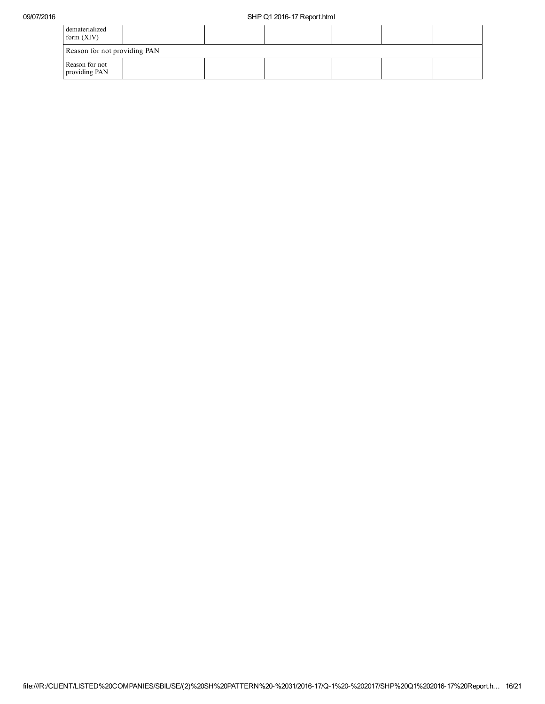| dematerialized<br>form $(XIV)$  |  |  |  |  |  |  |
|---------------------------------|--|--|--|--|--|--|
| Reason for not providing PAN    |  |  |  |  |  |  |
| Reason for not<br>providing PAN |  |  |  |  |  |  |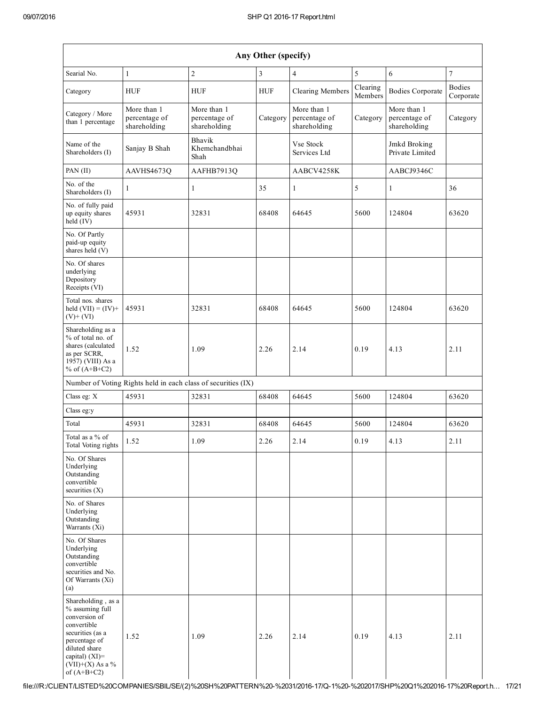| Any Other (specify)                                                                                                                                                                     |                                              |                                                               |            |                                              |                     |                                              |                            |
|-----------------------------------------------------------------------------------------------------------------------------------------------------------------------------------------|----------------------------------------------|---------------------------------------------------------------|------------|----------------------------------------------|---------------------|----------------------------------------------|----------------------------|
| Searial No.                                                                                                                                                                             | $\mathbf{1}$                                 | $\overline{c}$                                                | 3          | $\overline{4}$                               | 5                   | 6                                            | $\overline{7}$             |
| Category                                                                                                                                                                                | <b>HUF</b>                                   | <b>HUF</b>                                                    | <b>HUF</b> | <b>Clearing Members</b>                      | Clearing<br>Members | <b>Bodies Corporate</b>                      | <b>Bodies</b><br>Corporate |
| Category / More<br>than 1 percentage                                                                                                                                                    | More than 1<br>percentage of<br>shareholding | More than 1<br>percentage of<br>shareholding                  | Category   | More than 1<br>percentage of<br>shareholding | Category            | More than 1<br>percentage of<br>shareholding | Category                   |
| Name of the<br>Shareholders (I)                                                                                                                                                         | Sanjay B Shah                                | <b>Bhavik</b><br>Khemchandbhai<br>Shah                        |            | Vse Stock<br>Services Ltd                    |                     | Jmkd Broking<br>Private Limited              |                            |
| PAN (II)                                                                                                                                                                                | AAVHS4673Q                                   | AAFHB7913Q                                                    |            | AABCV4258K                                   |                     | AABCJ9346C                                   |                            |
| No. of the<br>Shareholders (I)                                                                                                                                                          | $\mathbf{1}$                                 | $\mathbf{1}$                                                  | 35         | 1                                            | 5                   | $\mathbf{1}$                                 | 36                         |
| No. of fully paid<br>up equity shares<br>$held$ (IV)                                                                                                                                    | 45931                                        | 32831                                                         | 68408      | 64645                                        | 5600                | 124804                                       | 63620                      |
| No. Of Partly<br>paid-up equity<br>shares held (V)                                                                                                                                      |                                              |                                                               |            |                                              |                     |                                              |                            |
| No. Of shares<br>underlying<br>Depository<br>Receipts (VI)                                                                                                                              |                                              |                                                               |            |                                              |                     |                                              |                            |
| Total nos. shares<br>held $(VII) = (IV) +$<br>$(V)+(VI)$                                                                                                                                | 45931                                        | 32831                                                         | 68408      | 64645                                        | 5600                | 124804                                       | 63620                      |
| Shareholding as a<br>% of total no. of<br>shares (calculated<br>as per SCRR,<br>1957) (VIII) As a<br>% of $(A+B+C2)$                                                                    | 1.52                                         | 1.09                                                          | 2.26       | 2.14                                         | 0.19                | 4.13                                         | 2.11                       |
|                                                                                                                                                                                         |                                              | Number of Voting Rights held in each class of securities (IX) |            |                                              |                     |                                              |                            |
| Class eg: X                                                                                                                                                                             | 45931                                        | 32831                                                         | 68408      | 64645                                        | 5600                | 124804                                       | 63620                      |
| Class eg:y                                                                                                                                                                              |                                              |                                                               |            |                                              |                     |                                              |                            |
| Total                                                                                                                                                                                   | 45931                                        | 32831                                                         | 68408      | 64645                                        | 5600                | 124804                                       | 63620                      |
| Total as a % of<br>Total Voting rights                                                                                                                                                  | 1.52                                         | 1.09                                                          | 2.26       | 2.14                                         | 0.19                | 4.13                                         | 2.11                       |
| No. Of Shares<br>Underlying<br>Outstanding<br>convertible<br>securities $(X)$                                                                                                           |                                              |                                                               |            |                                              |                     |                                              |                            |
| No. of Shares<br>Underlying<br>Outstanding<br>Warrants (Xi)                                                                                                                             |                                              |                                                               |            |                                              |                     |                                              |                            |
| No. Of Shares<br>Underlying<br>Outstanding<br>convertible<br>securities and No.<br>Of Warrants (Xi)<br>(a)                                                                              |                                              |                                                               |            |                                              |                     |                                              |                            |
| Shareholding, as a<br>% assuming full<br>conversion of<br>convertible<br>securities (as a<br>percentage of<br>diluted share<br>capital) $(XI)$ =<br>$(VII)+(X)$ As a %<br>of $(A+B+C2)$ | 1.52                                         | 1.09                                                          | 2.26       | 2.14                                         | 0.19                | 4.13                                         | 2.11                       |

file:///R:/CLIENT/LISTED%20COMPANIES/SBIL/SE/(2)%20SH%20PATTERN%20%2031/201617/Q1%20%202017/SHP%20Q1%20201617%20Report.h… 17/21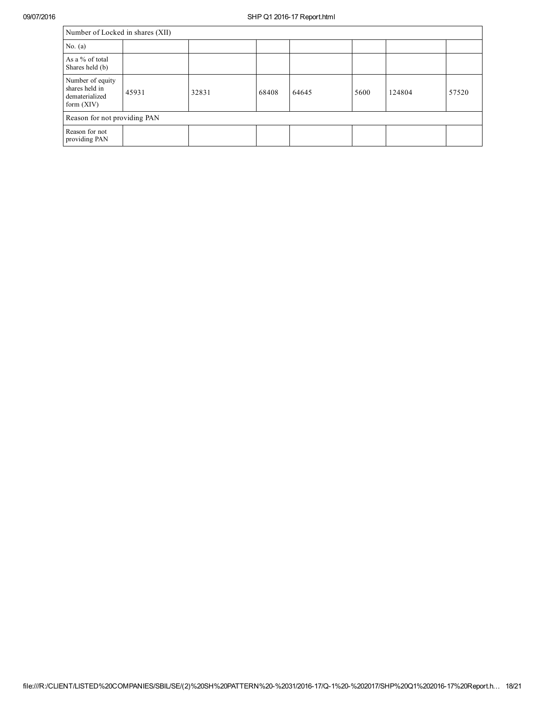| Number of Locked in shares (XII)                                     |       |       |       |       |      |        |       |  |
|----------------------------------------------------------------------|-------|-------|-------|-------|------|--------|-------|--|
| No. $(a)$                                                            |       |       |       |       |      |        |       |  |
| As a % of total<br>Shares held (b)                                   |       |       |       |       |      |        |       |  |
| Number of equity<br>shares held in<br>dematerialized<br>form $(XIV)$ | 45931 | 32831 | 68408 | 64645 | 5600 | 124804 | 57520 |  |
| Reason for not providing PAN                                         |       |       |       |       |      |        |       |  |
| Reason for not<br>providing PAN                                      |       |       |       |       |      |        |       |  |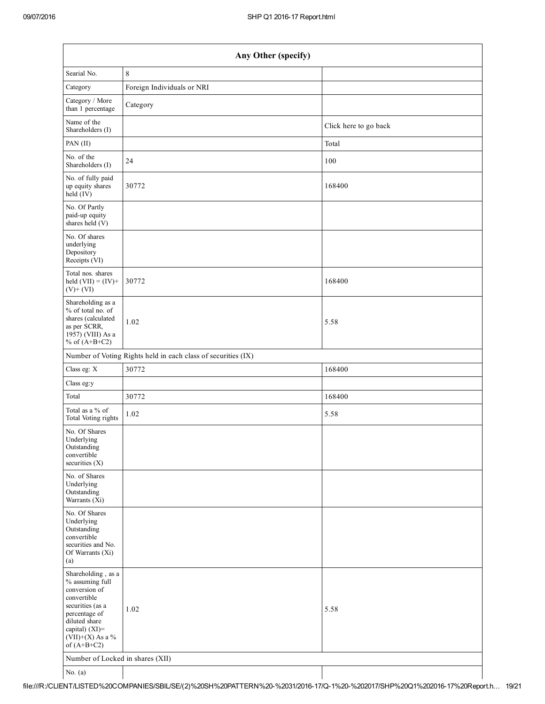| Any Other (specify)                                                                                                                                                                  |                                                               |                       |  |  |  |  |
|--------------------------------------------------------------------------------------------------------------------------------------------------------------------------------------|---------------------------------------------------------------|-----------------------|--|--|--|--|
| Searial No.                                                                                                                                                                          | $\,8\,$                                                       |                       |  |  |  |  |
| Category                                                                                                                                                                             | Foreign Individuals or NRI                                    |                       |  |  |  |  |
| Category / More<br>than 1 percentage                                                                                                                                                 | Category                                                      |                       |  |  |  |  |
| Name of the<br>Shareholders (I)                                                                                                                                                      |                                                               | Click here to go back |  |  |  |  |
| PAN (II)                                                                                                                                                                             |                                                               | Total                 |  |  |  |  |
| No. of the<br>Shareholders (I)                                                                                                                                                       | 24                                                            | 100                   |  |  |  |  |
| No. of fully paid<br>up equity shares<br>$\text{held}(\text{IV})$                                                                                                                    | 30772                                                         | 168400                |  |  |  |  |
| No. Of Partly<br>paid-up equity<br>shares held $(V)$                                                                                                                                 |                                                               |                       |  |  |  |  |
| No. Of shares<br>underlying<br>Depository<br>Receipts (VI)                                                                                                                           |                                                               |                       |  |  |  |  |
| Total nos. shares<br>held $(VII) = (IV) +$<br>$(V)$ + $(VI)$                                                                                                                         | 30772                                                         | 168400                |  |  |  |  |
| Shareholding as a<br>% of total no. of<br>shares (calculated<br>as per SCRR,<br>1957) (VIII) As a<br>% of $(A+B+C2)$                                                                 | 1.02                                                          | 5.58                  |  |  |  |  |
|                                                                                                                                                                                      | Number of Voting Rights held in each class of securities (IX) |                       |  |  |  |  |
| Class eg: X                                                                                                                                                                          | 30772                                                         | 168400                |  |  |  |  |
| Class eg:y                                                                                                                                                                           |                                                               |                       |  |  |  |  |
| Total                                                                                                                                                                                | 30772                                                         | 168400                |  |  |  |  |
| Total as a % of<br>Total Voting rights                                                                                                                                               | 1.02                                                          | 5.58                  |  |  |  |  |
| No. Of Shares<br>Underlying<br>Outstanding<br>convertible<br>securities $(X)$                                                                                                        |                                                               |                       |  |  |  |  |
| No. of Shares<br>Underlying<br>Outstanding<br>Warrants (Xi)                                                                                                                          |                                                               |                       |  |  |  |  |
| No. Of Shares<br>Underlying<br>Outstanding<br>convertible<br>securities and No.<br>Of Warrants (Xi)<br>(a)                                                                           |                                                               |                       |  |  |  |  |
| Shareholding, as a<br>% assuming full<br>conversion of<br>convertible<br>securities (as a<br>percentage of<br>diluted share<br>capital) (XI)=<br>$(VII)+(X)$ As a %<br>of $(A+B+C2)$ | 1.02                                                          | 5.58                  |  |  |  |  |
| Number of Locked in shares (XII)                                                                                                                                                     |                                                               |                       |  |  |  |  |
| No. $(a)$                                                                                                                                                                            |                                                               |                       |  |  |  |  |

file:///R:/CLIENT/LISTED%20COMPANIES/SBIL/SE/(2)%20SH%20PATTERN%20%2031/201617/Q1%20%202017/SHP%20Q1%20201617%20Report.h… 19/21